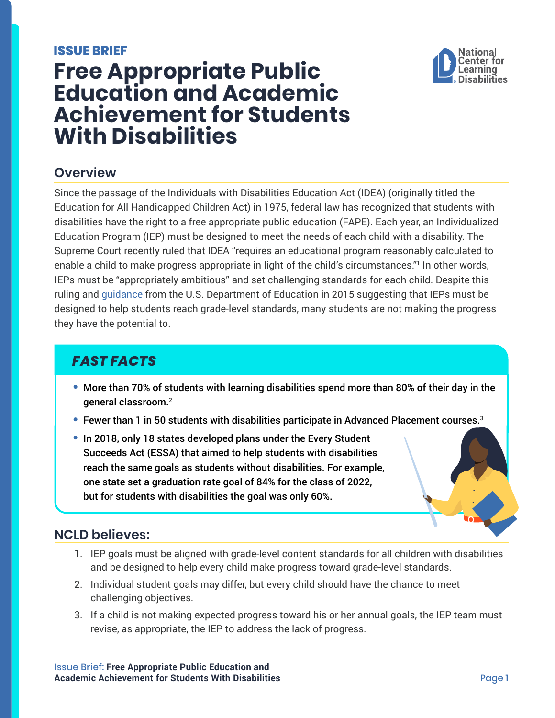#### <span id="page-0-0"></span>**ISSUE BRIEF**



# **Free Appropriate Public Education and Academic Achievement for Students With Disabilities**

## **Overview**

Since the passage of the Individuals with Disabilities Education Act (IDEA) (originally titled the Education for All Handicapped Children Act) in 1975, federal law has recognized that students with disabilities have the right to a free appropriate public education (FAPE). Each year, an Individualized Education Program (IEP) must be designed to meet the needs of each child with a disability. The Supreme Court recently ruled that IDEA "requires an educational program reasonably calculated to enable a child to make progress appropriate in light of the child's circumstances."[1](#page-1-0) In other words, IEPs must be "appropriately ambitious" and set challenging standards for each child. Despite this ruling and [guidance](https://www2.ed.gov/policy/speced/guid/idea/memosdcltrs/guidance-on-fape-11-17-2015.pdf) from the U.S. Department of Education in 2015 suggesting that IEPs must be designed to help students reach grade-level standards, many students are not making the progress they have the potential to.

## *FAST FACTS*

- **•** More than 70% of students with learning disabilities spend more than 80% of their day in the general classroom[.2](#page-1-0)
- **•** Fewer than 1 in 50 students with disabilities participate in Advanced Placement courses.[3](#page-1-0)
- **•** In 2018, only 18 states developed plans under the Every Student Succeeds Act (ESSA) that aimed to help students with disabilities reach the same goals as students without disabilities. For example, one state set a graduation rate goal of 84% for the class of 2022, but for students with disabilities the goal was only 60%.

## **NCLD believes:**

- 1. IEP goals must be aligned with grade-level content standards for all children with disabilities and be designed to help every child make progress toward grade-level standards.
- 2. Individual student goals may differ, but every child should have the chance to meet challenging objectives.
- 3. If a child is not making expected progress toward his or her annual goals, the IEP team must revise, as appropriate, the IEP to address the lack of progress.

Issue Brief: **Free Appropriate Public Education and Academic Achievement for Students With Disabilities Academic Achievement for Students With Disabilities** Page 1